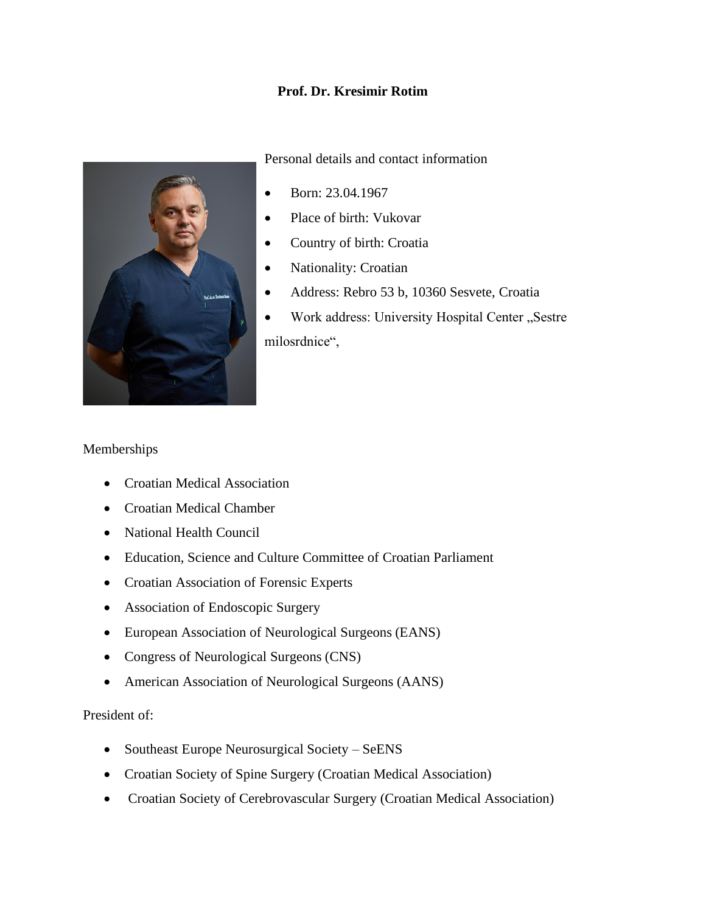# **Prof. Dr. Kresimir Rotim**



Personal details and contact information

- Born: 23.04.1967
- Place of birth: Vukovar
- Country of birth: Croatia
- Nationality: Croatian
- Address: Rebro 53 b, 10360 Sesvete, Croatia
- Work address: University Hospital Center "Sestre milosrdnice",

### Memberships

- Croatian Medical Association
- Croatian Medical Chamber
- National Health Council
- Education, Science and Culture Committee of Croatian Parliament
- Croatian Association of Forensic Experts
- Association of Endoscopic Surgery
- European Association of Neurological Surgeons (EANS)
- Congress of Neurological Surgeons (CNS)
- American Association of Neurological Surgeons (AANS)

#### President of:

- Southeast Europe Neurosurgical Society SeENS
- Croatian Society of Spine Surgery (Croatian Medical Association)
- Croatian Society of Cerebrovascular Surgery (Croatian Medical Association)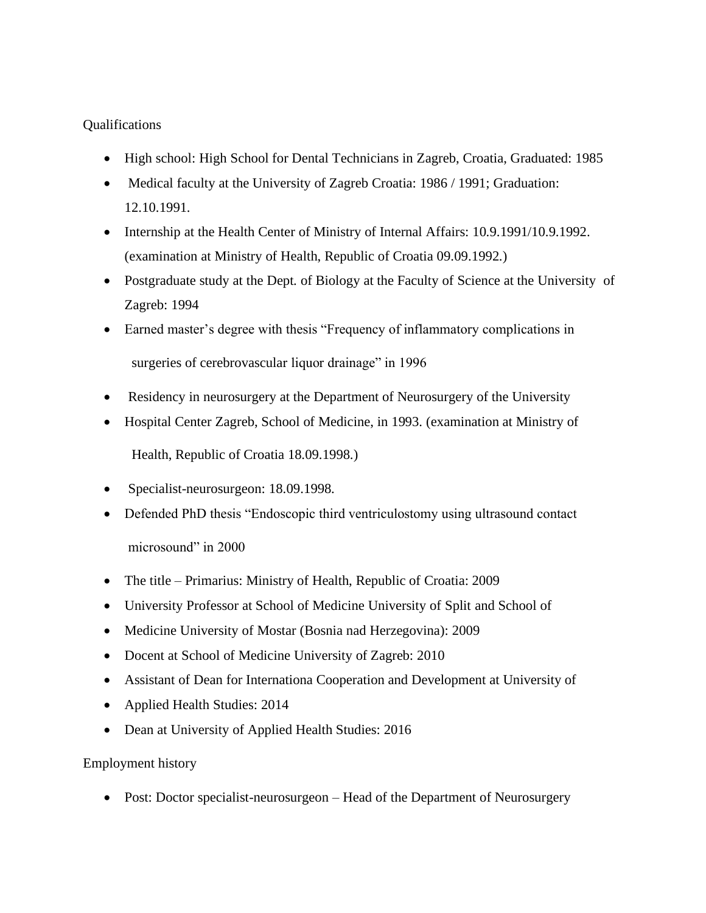# **Oualifications**

- High school: High School for Dental Technicians in Zagreb, Croatia, Graduated: 1985
- Medical faculty at the University of Zagreb Croatia: 1986 / 1991; Graduation: 12.10.1991.
- Internship at the Health Center of Ministry of Internal Affairs: 10.9.1991/10.9.1992. (examination at Ministry of Health, Republic of Croatia 09.09.1992.)
- Postgraduate study at the Dept. of Biology at the Faculty of Science at the University of Zagreb: 1994
- Earned master's degree with thesis "Frequency of inflammatory complications in surgeries of cerebrovascular liquor drainage" in 1996
- Residency in neurosurgery at the Department of Neurosurgery of the University
- Hospital Center Zagreb, School of Medicine, in 1993. (examination at Ministry of Health, Republic of Croatia 18.09.1998.)
- Specialist-neurosurgeon: 18.09.1998.
- Defended PhD thesis "Endoscopic third ventriculostomy using ultrasound contact microsound" in 2000
- The title Primarius: Ministry of Health, Republic of Croatia: 2009
- University Professor at School of Medicine University of Split and School of
- Medicine University of Mostar (Bosnia nad Herzegovina): 2009
- Docent at School of Medicine University of Zagreb: 2010
- Assistant of Dean for Internationa Cooperation and Development at University of
- Applied Health Studies: 2014
- Dean at University of Applied Health Studies: 2016

#### Employment history

• Post: Doctor specialist-neurosurgeon – Head of the Department of Neurosurgery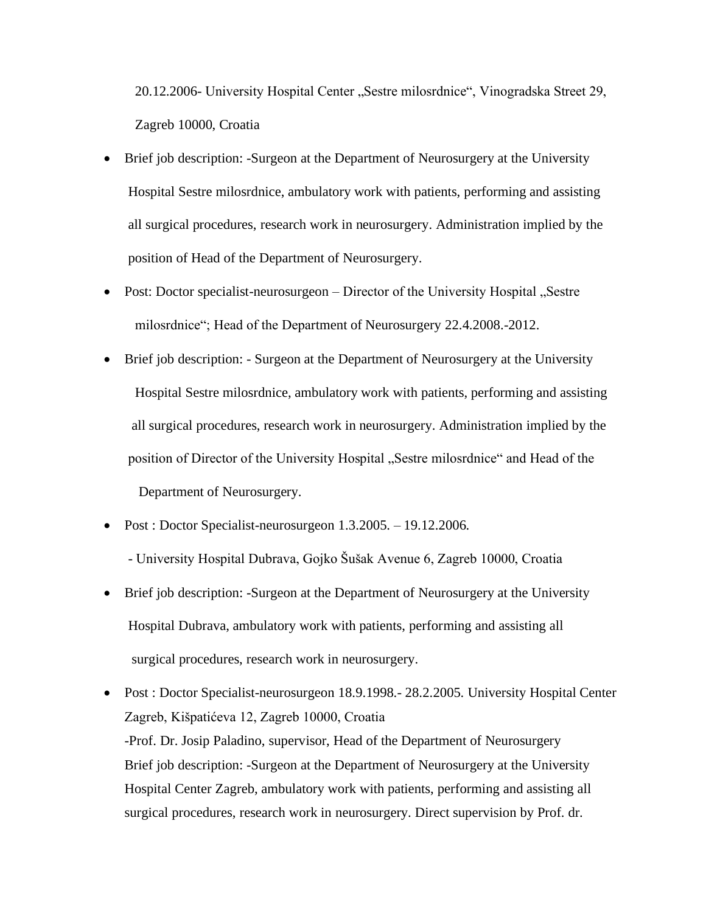20.12.2006- University Hospital Center "Sestre milosrdnice", Vinogradska Street 29, Zagreb 10000, Croatia

- Brief job description: -Surgeon at the Department of Neurosurgery at the University Hospital Sestre milosrdnice, ambulatory work with patients, performing and assisting all surgical procedures, research work in neurosurgery. Administration implied by the position of Head of the Department of Neurosurgery.
- Post: Doctor specialist-neurosurgeon Director of the University Hospital "Sestre milosrdnice"; Head of the Department of Neurosurgery 22.4.2008.-2012.
- Brief job description: Surgeon at the Department of Neurosurgery at the University Hospital Sestre milosrdnice, ambulatory work with patients, performing and assisting all surgical procedures, research work in neurosurgery. Administration implied by the position of Director of the University Hospital "Sestre milosrdnice" and Head of the Department of Neurosurgery.
- Post : Doctor Specialist-neurosurgeon 1.3.2005. 19.12.2006. - University Hospital Dubrava, Gojko Šušak Avenue 6, Zagreb 10000, Croatia
- Brief job description: -Surgeon at the Department of Neurosurgery at the University Hospital Dubrava, ambulatory work with patients, performing and assisting all surgical procedures, research work in neurosurgery.
- Post : Doctor Specialist-neurosurgeon 18.9.1998. 28.2.2005. University Hospital Center Zagreb, Kišpatićeva 12, Zagreb 10000, Croatia -Prof. Dr. Josip Paladino, supervisor, Head of the Department of Neurosurgery Brief job description: -Surgeon at the Department of Neurosurgery at the University Hospital Center Zagreb, ambulatory work with patients, performing and assisting all surgical procedures, research work in neurosurgery. Direct supervision by Prof. dr.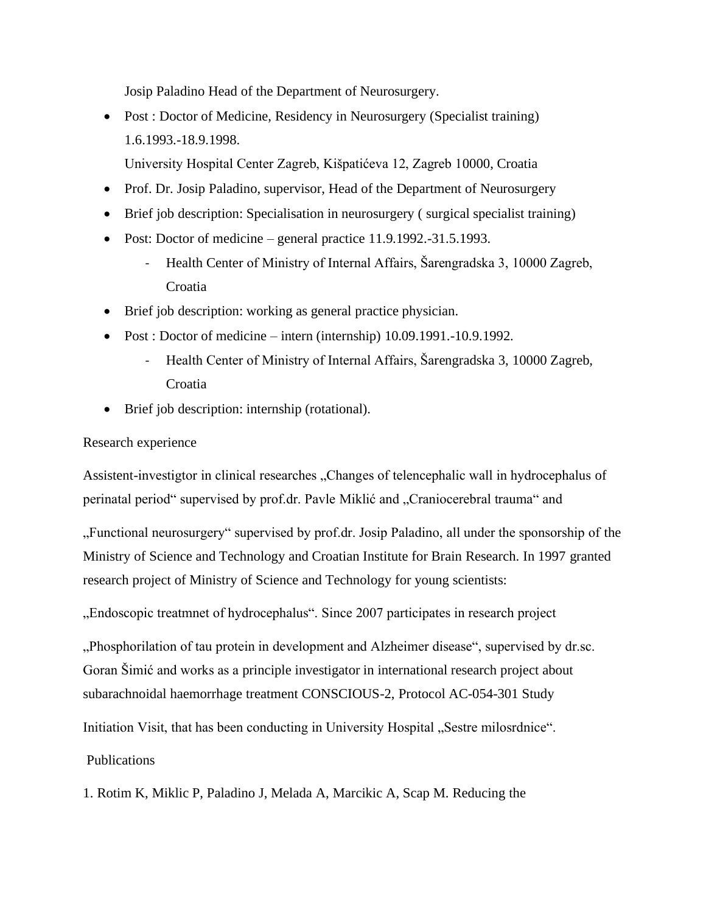Josip Paladino Head of the Department of Neurosurgery.

• Post : Doctor of Medicine, Residency in Neurosurgery (Specialist training) 1.6.1993.-18.9.1998.

University Hospital Center Zagreb, Kišpatićeva 12, Zagreb 10000, Croatia

- Prof. Dr. Josip Paladino, supervisor, Head of the Department of Neurosurgery
- Brief job description: Specialisation in neurosurgery (surgical specialist training)
- Post: Doctor of medicine general practice 11.9.1992.-31.5.1993.
	- Health Center of Ministry of Internal Affairs, Šarengradska 3, 10000 Zagreb, **Croatia**
- Brief job description: working as general practice physician.
- Post : Doctor of medicine intern (internship) 10.09.1991.-10.9.1992.
	- Health Center of Ministry of Internal Affairs, Šarengradska 3, 10000 Zagreb, **Croatia**
- Brief job description: internship (rotational).

## Research experience

Assistent-investigtor in clinical researches "Changes of telencephalic wall in hydrocephalus of perinatal period" supervised by prof.dr. Pavle Miklić and "Craniocerebral trauma" and

"Functional neurosurgery" supervised by prof.dr. Josip Paladino, all under the sponsorship of the Ministry of Science and Technology and Croatian Institute for Brain Research. In 1997 granted research project of Ministry of Science and Technology for young scientists:

"Endoscopic treatmnet of hydrocephalus". Since 2007 participates in research project

"Phosphorilation of tau protein in development and Alzheimer disease", supervised by dr.sc. Goran Šimić and works as a principle investigator in international research project about subarachnoidal haemorrhage treatment CONSCIOUS-2, Protocol AC-054-301 Study

Initiation Visit, that has been conducting in University Hospital "Sestre milosrdnice".

Publications

1. Rotim K, Miklic P, Paladino J, Melada A, Marcikic A, Scap M. Reducing the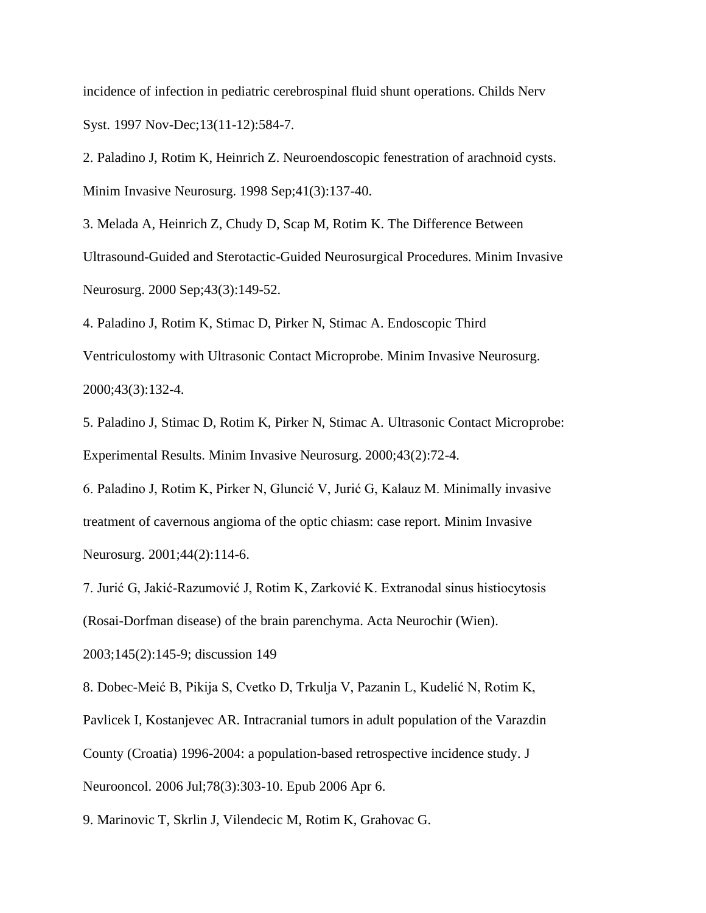incidence of infection in pediatric cerebrospinal fluid shunt operations. Childs Nerv Syst. 1997 Nov-Dec;13(11-12):584-7.

2. Paladino J, Rotim K, Heinrich Z. Neuroendoscopic fenestration of arachnoid cysts. Minim Invasive Neurosurg. 1998 Sep;41(3):137-40.

3. Melada A, Heinrich Z, Chudy D, Scap M, Rotim K. The Difference Between Ultrasound-Guided and Sterotactic-Guided Neurosurgical Procedures. Minim Invasive Neurosurg. 2000 Sep;43(3):149-52.

4. Paladino J, Rotim K, Stimac D, Pirker N, Stimac A. Endoscopic Third Ventriculostomy with Ultrasonic Contact Microprobe. Minim Invasive Neurosurg. 2000;43(3):132-4.

5. Paladino J, Stimac D, Rotim K, Pirker N, Stimac A. Ultrasonic Contact Microprobe: Experimental Results. Minim Invasive Neurosurg. 2000;43(2):72-4.

6. Paladino J, Rotim K, Pirker N, Gluncić V, Jurić G, Kalauz M. Minimally invasive treatment of cavernous angioma of the optic chiasm: case report. Minim Invasive Neurosurg. 2001;44(2):114-6.

7. Jurić G, Jakić-Razumović J, Rotim K, Zarković K. Extranodal sinus histiocytosis (Rosai-Dorfman disease) of the brain parenchyma. Acta Neurochir (Wien).

2003;145(2):145-9; discussion 149

8. Dobec-Meić B, Pikija S, Cvetko D, Trkulja V, Pazanin L, Kudelić N, Rotim K,

Pavlicek I, Kostanjevec AR. Intracranial tumors in adult population of the Varazdin

County (Croatia) 1996-2004: a population-based retrospective incidence study. J

Neurooncol. 2006 Jul;78(3):303-10. Epub 2006 Apr 6.

9. Marinovic T, Skrlin J, Vilendecic M, Rotim K, Grahovac G.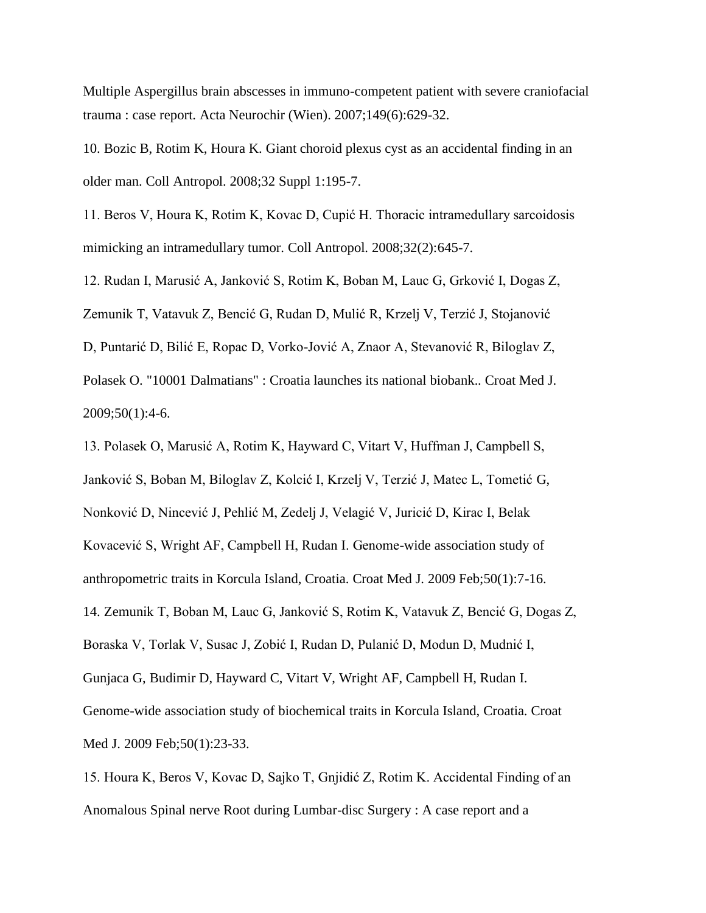Multiple Aspergillus brain abscesses in immuno-competent patient with severe craniofacial trauma : case report. Acta Neurochir (Wien). 2007;149(6):629-32.

10. Bozic B, Rotim K, Houra K. Giant choroid plexus cyst as an accidental finding in an older man. Coll Antropol. 2008;32 Suppl 1:195-7.

11. Beros V, Houra K, Rotim K, Kovac D, Cupić H. Thoracic intramedullary sarcoidosis mimicking an intramedullary tumor. Coll Antropol. 2008;32(2):645-7.

12. Rudan I, Marusić A, Janković S, Rotim K, Boban M, Lauc G, Grković I, Dogas Z,

Zemunik T, Vatavuk Z, Bencić G, Rudan D, Mulić R, Krzelj V, Terzić J, Stojanović

D, Puntarić D, Bilić E, Ropac D, Vorko-Jović A, Znaor A, Stevanović R, Biloglav Z,

Polasek O. "10001 Dalmatians" : Croatia launches its national biobank.. Croat Med J. 2009;50(1):4-6.

13. Polasek O, Marusić A, Rotim K, Hayward C, Vitart V, Huffman J, Campbell S, Janković S, Boban M, Biloglav Z, Kolcić I, Krzelj V, Terzić J, Matec L, Tometić G, Nonković D, Nincević J, Pehlić M, Zedelj J, Velagić V, Juricić D, Kirac I, Belak Kovacević S, Wright AF, Campbell H, Rudan I. Genome-wide association study of anthropometric traits in Korcula Island, Croatia. Croat Med J. 2009 Feb;50(1):7-16. 14. Zemunik T, Boban M, Lauc G, Janković S, Rotim K, Vatavuk Z, Bencić G, Dogas Z, Boraska V, Torlak V, Susac J, Zobić I, Rudan D, Pulanić D, Modun D, Mudnić I, Gunjaca G, Budimir D, Hayward C, Vitart V, Wright AF, Campbell H, Rudan I. Genome-wide association study of biochemical traits in Korcula Island, Croatia. Croat Med J. 2009 Feb;50(1):23-33.

15. Houra K, Beros V, Kovac D, Sajko T, Gnjidić Z, Rotim K. Accidental Finding of an Anomalous Spinal nerve Root during Lumbar-disc Surgery : A case report and a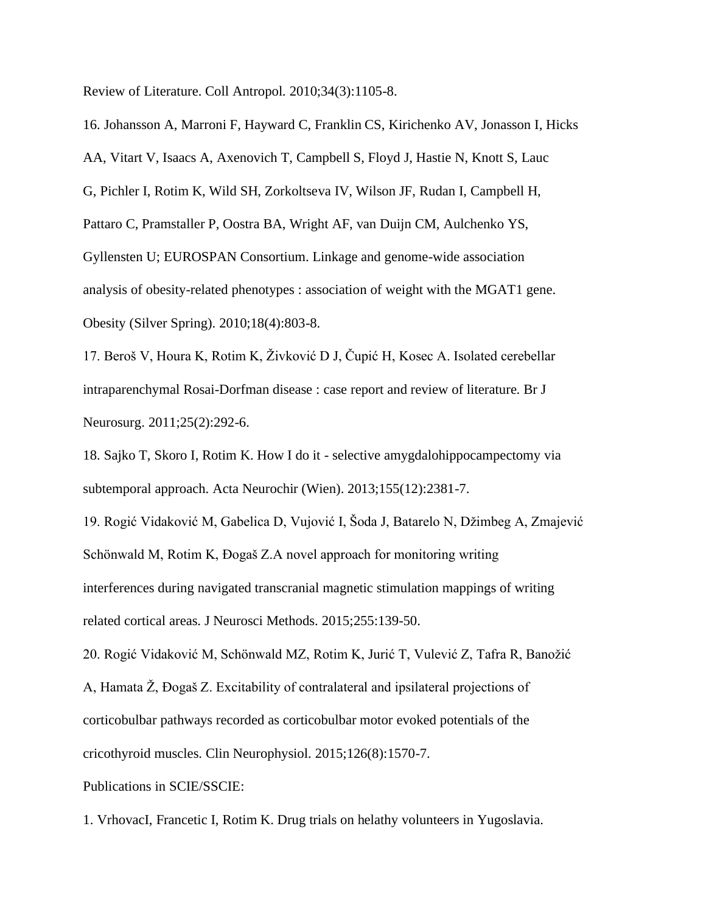Review of Literature. Coll Antropol. 2010;34(3):1105-8.

16. Johansson A, Marroni F, Hayward C, Franklin CS, Kirichenko AV, Jonasson I, Hicks AA, Vitart V, Isaacs A, Axenovich T, Campbell S, Floyd J, Hastie N, Knott S, Lauc G, Pichler I, Rotim K, Wild SH, Zorkoltseva IV, Wilson JF, Rudan I, Campbell H, Pattaro C, Pramstaller P, Oostra BA, Wright AF, van Duijn CM, Aulchenko YS, Gyllensten U; EUROSPAN Consortium. Linkage and genome-wide association analysis of obesity-related phenotypes : association of weight with the MGAT1 gene. Obesity (Silver Spring). 2010;18(4):803-8.

17. Beroš V, Houra K, Rotim K, Živković D J, Čupić H, Kosec A. Isolated cerebellar intraparenchymal Rosai-Dorfman disease : case report and review of literature. Br J Neurosurg. 2011;25(2):292-6.

18. Sajko T, Skoro I, Rotim K. How I do it - selective amygdalohippocampectomy via subtemporal approach. Acta Neurochir (Wien). 2013;155(12):2381-7.

19. Rogić Vidaković M, Gabelica D, Vujović I, Šoda J, Batarelo N, Džimbeg A, Zmajević Schönwald M, Rotim K, Đogaš Z.A novel approach for monitoring writing interferences during navigated transcranial magnetic stimulation mappings of writing related cortical areas. J Neurosci Methods. 2015;255:139-50.

20. Rogić Vidaković M, Schönwald MZ, Rotim K, Jurić T, Vulević Z, Tafra R, Banožić A, Hamata Ž, Đogaš Z. Excitability of contralateral and ipsilateral projections of corticobulbar pathways recorded as corticobulbar motor evoked potentials of the cricothyroid muscles. Clin Neurophysiol. 2015;126(8):1570-7.

Publications in SCIE/SSCIE:

1. VrhovacI, Francetic I, Rotim K. Drug trials on helathy volunteers in Yugoslavia.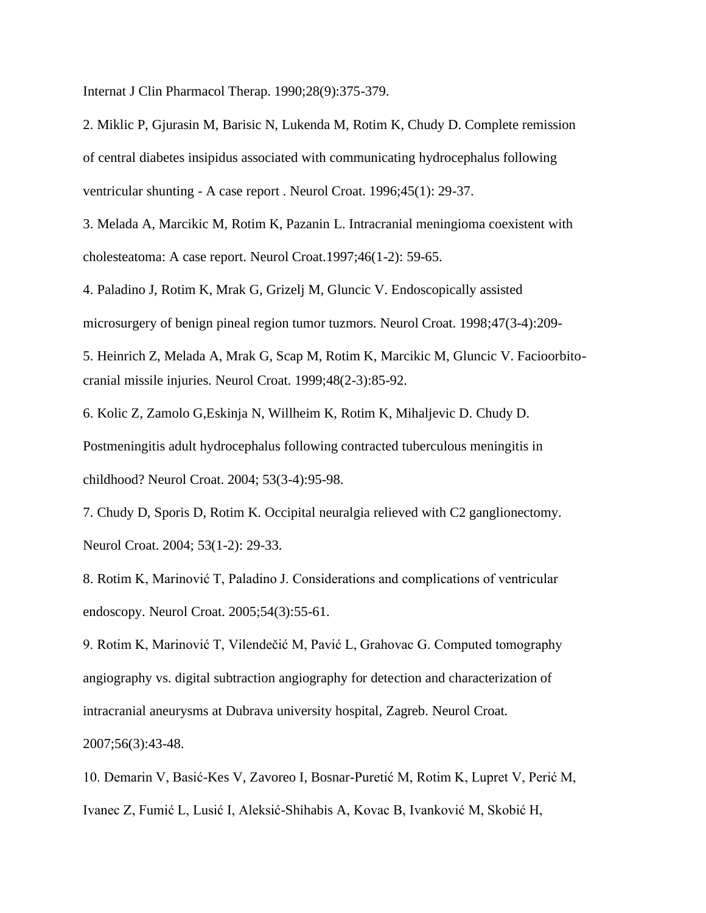Internat J Clin Pharmacol Therap. 1990;28(9):375-379.

2. Miklic P, Gjurasin M, Barisic N, Lukenda M, Rotim K, Chudy D. Complete remission of central diabetes insipidus associated with communicating hydrocephalus following ventricular shunting - A case report . Neurol Croat. 1996;45(1): 29-37.

3. Melada A, Marcikic M, Rotim K, Pazanin L. Intracranial meningioma coexistent with cholesteatoma: A case report. Neurol Croat.1997;46(1-2): 59-65.

4. Paladino J, Rotim K, Mrak G, Grizelj M, Gluncic V. Endoscopically assisted microsurgery of benign pineal region tumor tuzmors. Neurol Croat. 1998;47(3-4):209-

5. Heinrich Z, Melada A, Mrak G, Scap M, Rotim K, Marcikic M, Gluncic V. Facioorbitocranial missile injuries. Neurol Croat. 1999;48(2-3):85-92.

6. Kolic Z, Zamolo G,Eskinja N, Willheim K, Rotim K, Mihaljevic D. Chudy D.

Postmeningitis adult hydrocephalus following contracted tuberculous meningitis in childhood? Neurol Croat. 2004; 53(3-4):95-98.

7. Chudy D, Sporis D, Rotim K. Occipital neuralgia relieved with C2 ganglionectomy. Neurol Croat. 2004; 53(1-2): 29-33.

8. Rotim K, Marinović T, Paladino J. Considerations and complications of ventricular endoscopy. Neurol Croat. 2005;54(3):55-61.

9. Rotim K, Marinović T, Vilendečić M, Pavić L, Grahovac G. Computed tomography angiography vs. digital subtraction angiography for detection and characterization of intracranial aneurysms at Dubrava university hospital, Zagreb. Neurol Croat.

2007;56(3):43-48.

10. Demarin V, Basić-Kes V, Zavoreo I, Bosnar-Puretić M, Rotim K, Lupret V, Perić M, Ivanec Z, Fumić L, Lusić I, Aleksić-Shihabis A, Kovac B, Ivanković M, Skobić H,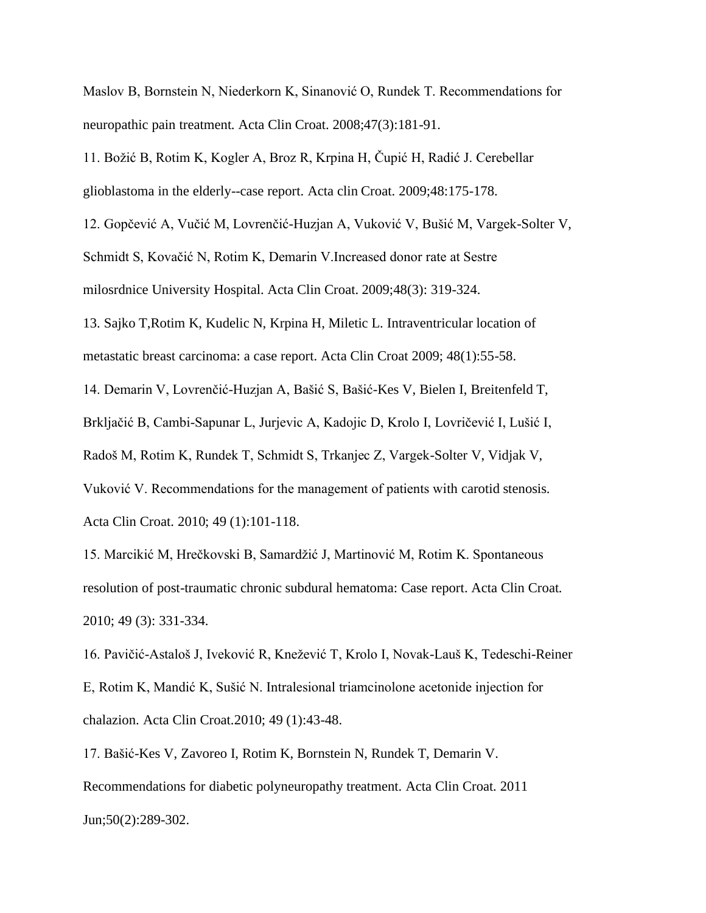Maslov B, Bornstein N, Niederkorn K, Sinanović O, Rundek T. Recommendations for neuropathic pain treatment. Acta Clin Croat. 2008;47(3):181-91.

11. Božić B, Rotim K, Kogler A, Broz R, Krpina H, Čupić H, Radić J. Cerebellar glioblastoma in the elderly--case report. Acta clin Croat. 2009;48:175-178.

12. Gopčević A, Vučić M, Lovrenčić-Huzjan A, Vuković V, Bušić M, Vargek-Solter V,

Schmidt S, Kovačić N, Rotim K, Demarin V.Increased donor rate at Sestre

milosrdnice University Hospital. Acta Clin Croat. 2009;48(3): 319-324.

13. Sajko T,Rotim K, Kudelic N, Krpina H, Miletic L. Intraventricular location of metastatic breast carcinoma: a case report. Acta Clin Croat 2009; 48(1):55-58.

14. Demarin V, Lovrenčić-Huzjan A, Bašić S, Bašić-Kes V, Bielen I, Breitenfeld T, Brkljačić B, Cambi-Sapunar L, Jurjevic A, Kadojic D, Krolo I, Lovričević I, Lušić I, Radoš M, Rotim K, Rundek T, Schmidt S, Trkanjec Z, Vargek-Solter V, Vidjak V, Vuković V. Recommendations for the management of patients with carotid stenosis. Acta Clin Croat. 2010; 49 (1):101-118.

15. Marcikić M, Hrečkovski B, Samardžić J, Martinović M, Rotim K. Spontaneous resolution of post-traumatic chronic subdural hematoma: Case report. Acta Clin Croat. 2010; 49 (3): 331-334.

16. Pavičić-Astaloš J, Iveković R, Knežević T, Krolo I, Novak-Lauš K, Tedeschi-Reiner E, Rotim K, Mandić K, Sušić N. Intralesional triamcinolone acetonide injection for chalazion. Acta Clin Croat.2010; 49 (1):43-48.

17. Bašić-Kes V, Zavoreo I, Rotim K, Bornstein N, Rundek T, Demarin V. Recommendations for diabetic polyneuropathy treatment. Acta Clin Croat. 2011 Jun;50(2):289-302.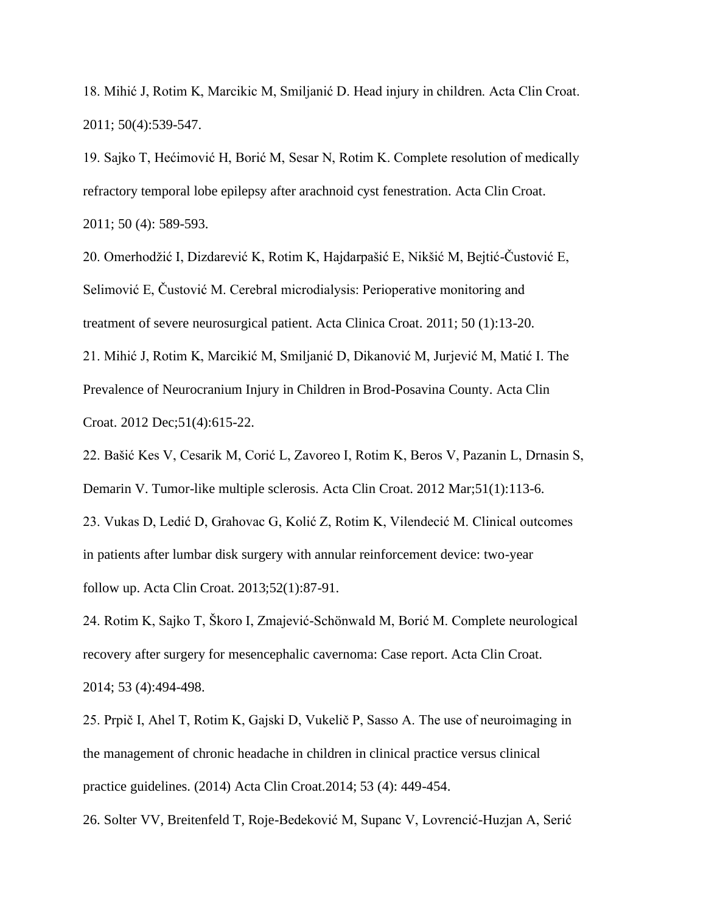18. Mihić J, Rotim K, Marcikic M, Smiljanić D. Head injury in children. Acta Clin Croat. 2011; 50(4):539-547.

19. Sajko T, Hećimović H, Borić M, Sesar N, Rotim K. Complete resolution of medically refractory temporal lobe epilepsy after arachnoid cyst fenestration. Acta Clin Croat. 2011; 50 (4): 589-593.

20. Omerhodžić I, Dizdarević K, Rotim K, Hajdarpašić E, Nikšić M, Bejtić-Čustović E, Selimović E, Čustović M. Cerebral microdialysis: Perioperative monitoring and treatment of severe neurosurgical patient. Acta Clinica Croat. 2011; 50 (1):13-20.

21. Mihić J, Rotim K, Marcikić M, Smiljanić D, Dikanović M, Jurjević M, Matić I. The Prevalence of Neurocranium Injury in Children in Brod-Posavina County. Acta Clin Croat. 2012 Dec;51(4):615-22.

22. Bašić Kes V, Cesarik M, Corić L, Zavoreo I, Rotim K, Beros V, Pazanin L, Drnasin S, Demarin V. Tumor-like multiple sclerosis. Acta Clin Croat. 2012 Mar;51(1):113-6.

23. Vukas D, Ledić D, Grahovac G, Kolić Z, Rotim K, Vilendecić M. Clinical outcomes in patients after lumbar disk surgery with annular reinforcement device: two-year follow up. Acta Clin Croat. 2013;52(1):87-91.

24. Rotim K, Sajko T, Škoro I, Zmajević-Schönwald M, Borić M. Complete neurological recovery after surgery for mesencephalic cavernoma: Case report. Acta Clin Croat. 2014; 53 (4):494-498.

25. Prpič I, Ahel T, Rotim K, Gajski D, Vukelič P, Sasso A. The use of neuroimaging in the management of chronic headache in children in clinical practice versus clinical practice guidelines. (2014) Acta Clin Croat.2014; 53 (4): 449-454.

26. Solter VV, Breitenfeld T, Roje-Bedeković M, Supanc V, Lovrencić-Huzjan A, Serić